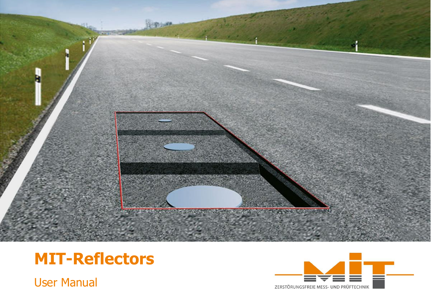

# **MIT-Reflectors**

User Manual

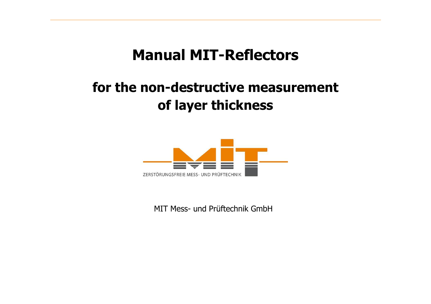## **Manual MIT-Reflectors**

## **for the non-destructive measurement of layer thickness**



MIT Mess- und Prüftechnik GmbH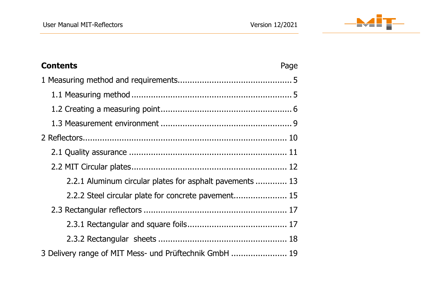

| <b>Contents</b>                                          | Page |
|----------------------------------------------------------|------|
|                                                          |      |
|                                                          |      |
|                                                          |      |
|                                                          |      |
|                                                          |      |
|                                                          |      |
|                                                          |      |
| 2.2.1 Aluminum circular plates for asphalt pavements  13 |      |
| 2.2.2 Steel circular plate for concrete pavement 15      |      |
|                                                          |      |
|                                                          |      |
|                                                          |      |
| 3 Delivery range of MIT Mess- und Prüftechnik GmbH  19   |      |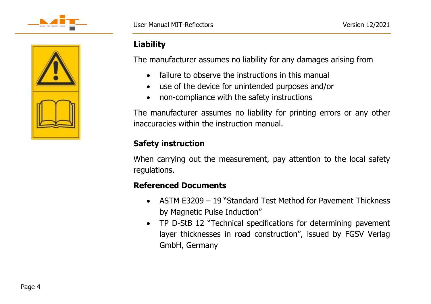



## **Liability**

The manufacturer assumes no liability for any damages arising from

- failure to observe the instructions in this manual
- use of the device for unintended purposes and/or
- non-compliance with the safety instructions

The manufacturer assumes no liability for printing errors or any other inaccuracies within the instruction manual.

## **Safety instruction**

When carrying out the measurement, pay attention to the local safety regulations.

### **Referenced Documents**

- ASTM E3209 19 "Standard Test Method for Pavement Thickness by Magnetic Pulse Induction"
- TP D-StB 12 "Technical specifications for determining pavement layer thicknesses in road construction", issued by FGSV Verlag GmbH, Germany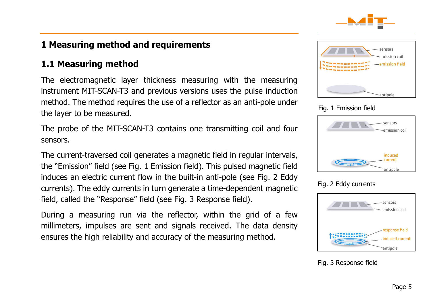

## <span id="page-4-0"></span>**1 Measuring method and requirements**

## <span id="page-4-1"></span>**1.1 Measuring method**

The electromagnetic layer thickness measuring with the measuring instrument MIT-SCAN-T3 and previous versions uses the pulse induction method. The method requires the use of a reflector as an anti-pole under the layer to be measured.

The probe of the MIT-SCAN-T3 contains one transmitting coil and four sensors.

The current-traversed coil generates a magnetic field in regular intervals, the "Emission" field (see Fig. 1 [Emission field\)](#page-4-2). This pulsed magnetic field induces an electric current flow in the built-in anti-pole (see Fig. 2 Eddy currents). The eddy currents in turn generate a time-dependent magnetic field, called the "Response" field (see Fig. 3 [Response field\)](#page-4-3).

During a measuring run via the reflector, within the grid of a few millimeters, impulses are sent and signals received. The data density ensures the high reliability and accuracy of the measuring method.



#### <span id="page-4-2"></span>Fig. 1 Emission field

| -sensors<br>emission coil      |
|--------------------------------|
| induced<br>current<br>antipole |

#### Fig. 2 Eddy currents



<span id="page-4-3"></span>Fig. 3 Response field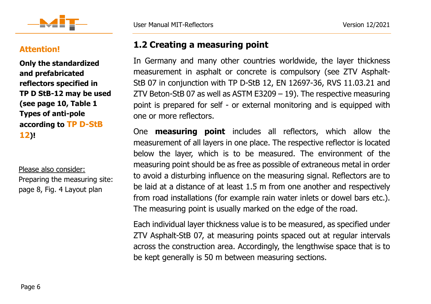



#### **Attention!**

**Only the standardized and prefabricated reflectors specified in TP D StB-12 may be used (see page [10, Table 1](#page-9-1) [Types of anti-pole](#page-9-1)  [according to](#page-9-1) TP D-StB [12](#page-9-1))!**

Please also consider: Preparing the measuring site: page [8,](#page-7-0) Fig. 4 [Layout plan](#page-7-0)

## **1.2 Creating a measuring point**

<span id="page-5-0"></span>In Germany and many other countries worldwide, the layer thickness measurement in asphalt or concrete is compulsory (see ZTV Asphalt-StB 07 in conjunction with TP D-StB 12, EN 12697-36, RVS 11.03.21 and ZTV Beton-StB 07 as well as ASTM E3209 – 19). The respective measuring point is prepared for self - or external monitoring and is equipped with one or more reflectors.

One **measuring point** includes all reflectors, which allow the measurement of all layers in one place. The respective reflector is located below the layer, which is to be measured. The environment of the measuring point should be as free as possible of extraneous metal in order to avoid a disturbing influence on the measuring signal. Reflectors are to be laid at a distance of at least 1.5 m from one another and respectively from road installations (for example rain water inlets or dowel bars etc.). The measuring point is usually marked on the edge of the road.

Each individual layer thickness value is to be measured, as specified under ZTV Asphalt-StB 07, at measuring points spaced out at regular intervals across the construction area. Accordingly, the lengthwise space that is to be kept generally is 50 m between measuring sections.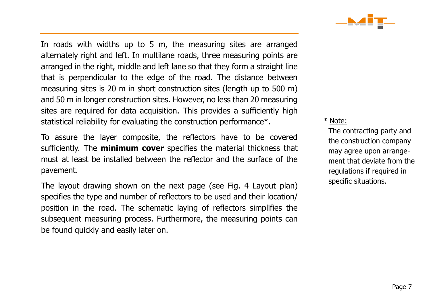

In roads with widths up to 5 m, the measuring sites are arranged alternately right and left. In multilane roads, three measuring points are arranged in the right, middle and left lane so that they form a straight line that is perpendicular to the edge of the road. The distance between measuring sites is 20 m in short construction sites (length up to 500 m) and 50 m in longer construction sites. However, no less than 20 measuring sites are required for data acquisition. This provides a sufficiently high statistical reliability for evaluating the construction performance\*.

To assure the layer composite, the reflectors have to be covered sufficiently. The **minimum cover** specifies the material thickness that must at least be installed between the reflector and the surface of the pavement.

The layout drawing shown on the next page (see Fig. 4 Layout plan) specifies the type and number of reflectors to be used and their location/ position in the road. The schematic laying of reflectors simplifies the subsequent measuring process. Furthermore, the measuring points can be found quickly and easily later on.

#### \* Note:

The contracting party and the construction company may agree upon arrangement that deviate from the regulations if required in specific situations.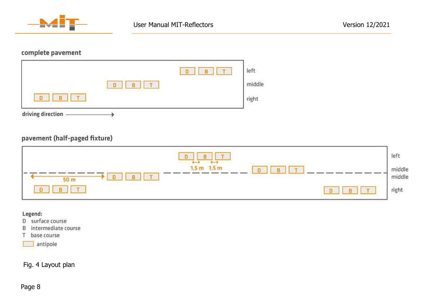

#### complete pavement

| left   |
|--------|
| middle |
| right  |
|        |

#### pavement (half-paged fixture)

| B<br>T<br>$\Box$<br>$\longrightarrow$<br>$\overline{\phantom{0}}$                                           | left                                                                                                                    |
|-------------------------------------------------------------------------------------------------------------|-------------------------------------------------------------------------------------------------------------------------|
| $1,5$ m $1,5$ m<br>$\sqrt{D}$<br><b>County</b><br>$\blacksquare$<br>11 T.<br>B<br>$\Box$<br>50 <sub>m</sub> | middle<br>middle                                                                                                        |
| T<br>B<br>B.<br><b>TETT</b><br>D                                                                            | $\operatorname*{right}% \left( \mathcal{M}_{0}\right) =\operatorname*{right}% \left( \mathcal{M}_{0}\right) ^{\prime }$ |

#### Legend:

- D surface course
- B intermediate course
- T base course
- antipole

#### <span id="page-7-0"></span>Fig. 4 Layout plan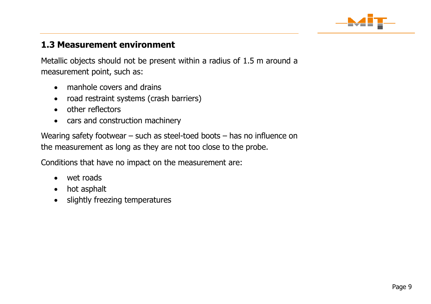

## <span id="page-8-0"></span>**1.3 Measurement environment**

Metallic objects should not be present within a radius of 1.5 m around a measurement point, such as:

- manhole covers and drains
- road restraint systems (crash barriers)
- other reflectors
- cars and construction machinery

Wearing safety footwear – such as steel-toed boots – has no influence on the measurement as long as they are not too close to the probe.

Conditions that have no impact on the measurement are:

- wet roads
- hot asphalt
- slightly freezing temperatures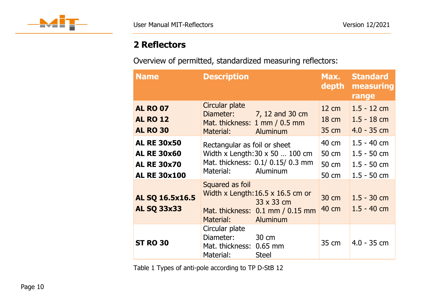

## <span id="page-9-0"></span>**2 Reflectors**

Overview of permitted, standardized measuring reflectors:

| <b>Name</b>                                                                           | <b>Description</b>                                                                                                                            | Max.<br>depth                               | <b>Standard</b><br>measuring<br>range                            |
|---------------------------------------------------------------------------------------|-----------------------------------------------------------------------------------------------------------------------------------------------|---------------------------------------------|------------------------------------------------------------------|
| <b>AL RO 07</b><br><b>AL RO 12</b><br><b>AL RO 30</b>                                 | Circular plate<br>7, 12 and 30 cm<br>Diameter:<br>Mat. thickness: 1 mm / 0.5 mm<br>Aluminum<br>Material:                                      | $12 \text{ cm}$<br>$18 \text{ cm}$<br>35 cm | $1.5 - 12$ cm<br>$1.5 - 18$ cm<br>$4.0 - 35$ cm                  |
| <b>AL RE 30x50</b><br><b>AL RE 30x60</b><br><b>AL RE 30x70</b><br><b>AL RE 30x100</b> | Rectangular as foil or sheet<br>Width x Length: $30 \times 50$ 100 cm<br>Mat. thickness: 0.1/ 0.15/ 0.3 mm<br>Aluminum<br>Material:           | 40 cm<br>50 cm<br>50 cm<br>50 cm            | $1.5 - 40$ cm<br>$1.5 - 50$ cm<br>$1.5 - 50$ cm<br>$1.5 - 50$ cm |
| AL SQ 16.5x16.5<br><b>AL SQ 33x33</b>                                                 | Squared as foil<br>Width x Length: $16.5 \times 16.5$ cm or<br>33 x 33 cm<br>Mat. thickness: 0.1 mm / 0.15 mm<br><b>Aluminum</b><br>Material: | 30 cm<br>40 cm                              | $1.5 - 30$ cm<br>$1.5 - 40$ cm                                   |
| <b>ST RO 30</b>                                                                       | Circular plate<br>Diameter:<br>30 cm<br>Mat. thickness: 0.65 mm<br>Material:<br><b>Steel</b>                                                  | 35 cm                                       | $4.0 - 35$ cm                                                    |

<span id="page-9-1"></span>Table 1 Types of anti-pole according to TP D-StB 12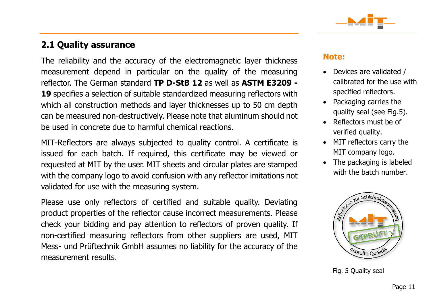

## <span id="page-10-0"></span>**2.1 Quality assurance**

The reliability and the accuracy of the electromagnetic layer thickness measurement depend in particular on the quality of the measuring reflector. The German standard **TP D-StB 12** as well as **ASTM E3209 - 19** specifies a selection of suitable standardized measuring reflectors with which all construction methods and layer thicknesses up to 50 cm depth can be measured non-destructively. Please note that aluminum should not be used in concrete due to harmful chemical reactions.

MIT-Reflectors are always subjected to quality control. A certificate is issued for each batch. If required, this certificate may be viewed or requested at MIT by the user. MIT sheets and circular plates are stamped with the company logo to avoid confusion with any reflector imitations not validated for use with the measuring system.

Please use only reflectors of certified and suitable quality. Deviating product properties of the reflector cause incorrect measurements. Please check your bidding and pay attention to reflectors of proven quality. If non-certified measuring reflectors from other suppliers are used, MIT Mess- und Prüftechnik GmbH assumes no liability for the accuracy of the measurement results.

#### **Note:**

- Devices are validated / calibrated for the use with specified reflectors.
- Packaging carries the quality seal (see Fig.5).
- Reflectors must be of verified quality.
- MIT reflectors carry the MIT company logo.
- The packaging is labeled with the batch number.



Fig. 5 Quality seal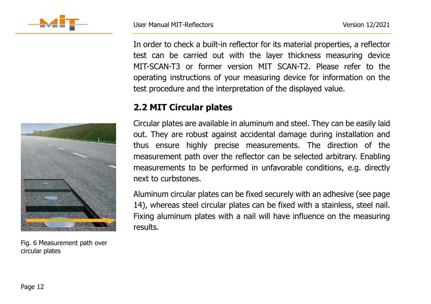

In order to check a built-in reflector for its material properties, a reflector test can be carried out with the layer thickness measuring device MIT-SCAN-T3 or former version MIT SCAN-T2. Please refer to the operating instructions of your measuring device for information on the test procedure and the interpretation of the displayed value.

## <span id="page-11-0"></span>**2.2 MIT Circular plates**

Circular plates are available in aluminum and steel. They can be easily laid out. They are robust against accidental damage during installation and thus ensure highly precise measurements. The direction of the measurement path over the reflector can be selected arbitrary. Enabling measurements to be performed in unfavorable conditions, e.g. directly next to curbstones.

Aluminum circular plates can be fixed securely with an adhesive (see page 14), whereas steel circular plates can be fixed with a stainless, steel nail. Fixing aluminum plates with a nail will have influence on the measuring results.



Fig. 6 Measurement path over circular plates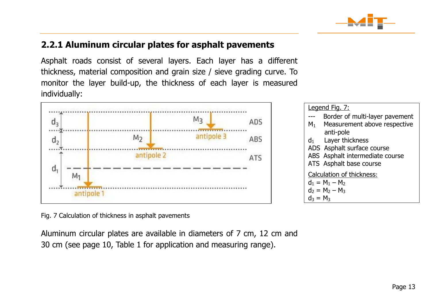

## <span id="page-12-0"></span>**2.2.1 Aluminum circular plates for asphalt pavements**

Asphalt roads consist of several layers. Each layer has a different thickness, material composition and grain size / sieve grading curve. To monitor the layer build-up, the thickness of each layer is measured individually:



| Legend Fig. 7:                                 |  |  |  |
|------------------------------------------------|--|--|--|
| Border of multi-layer pavement                 |  |  |  |
| Measurement above respective<br>M <sub>1</sub> |  |  |  |
| anti-pole                                      |  |  |  |
| Layer thickness<br>$d_1$                       |  |  |  |
| ADS Asphalt surface course                     |  |  |  |
| ABS Asphalt intermediate course                |  |  |  |
| ATS Asphalt base course                        |  |  |  |
| Calculation of thickness:                      |  |  |  |
| $d_1 = M_1 - M_2$                              |  |  |  |
| $d_2 = M_2 - M_3$                              |  |  |  |
| $d_3 = M_3$                                    |  |  |  |

<span id="page-12-1"></span>Fig. 7 Calculation of thickness in asphalt pavements

Aluminum circular plates are available in diameters of 7 cm, 12 cm and 30 cm (see page 10, Table 1 for application and measuring range).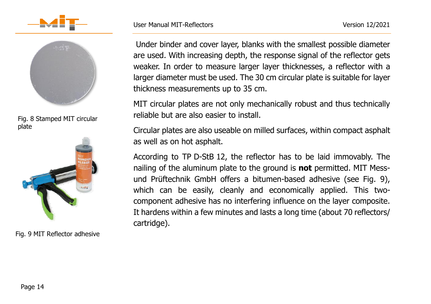



Fig. 8 Stamped MIT circular plate



Fig. 9 MIT Reflector adhesive

Under binder and cover layer, blanks with the smallest possible diameter are used. With increasing depth, the response signal of the reflector gets weaker. In order to measure larger layer thicknesses, a reflector with a larger diameter must be used. The 30 cm circular plate is suitable for layer thickness measurements up to 35 cm.

MIT circular plates are not only mechanically robust and thus technically reliable but are also easier to install.

Circular plates are also useable on milled surfaces, within compact asphalt as well as on hot asphalt.

According to TP D-StB 12, the reflector has to be laid immovably. The nailing of the aluminum plate to the ground is **not** permitted. MIT Messund Prüftechnik GmbH offers a bitumen-based adhesive (see Fig. 9), which can be easily, cleanly and economically applied. This twocomponent adhesive has no interfering influence on the layer composite. It hardens within a few minutes and lasts a long time (about 70 reflectors/ cartridge).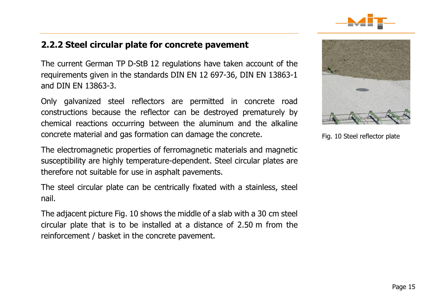

## <span id="page-14-0"></span>**2.2.2 Steel circular plate for concrete pavement**

The current German TP D-StB 12 regulations have taken account of the requirements given in the standards DIN EN 12 697-36, DIN EN 13863-1 and DIN EN 13863-3.

Only galvanized steel reflectors are permitted in concrete road constructions because the reflector can be destroyed prematurely by chemical reactions occurring between the aluminum and the alkaline concrete material and gas formation can damage the concrete.

The electromagnetic properties of ferromagnetic materials and magnetic susceptibility are highly temperature-dependent. Steel circular plates are therefore not suitable for use in asphalt pavements.

The steel circular plate can be centrically fixated with a stainless, steel nail.

The adjacent picture Fig. 10 shows the middle of a slab with a 30 cm steel circular plate that is to be installed at a distance of 2.50 m from the reinforcement / basket in the concrete pavement.



Fig. 10 Steel reflector plate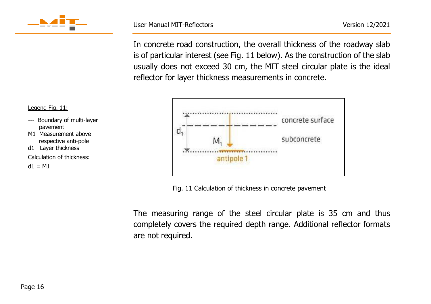

In concrete road construction, the overall thickness of the roadway slab is of particular interest (see Fig. 11 below). As the construction of the slab usually does not exceed 30 cm, the MIT steel circular plate is the ideal reflector for layer thickness measurements in concrete.



Fig. 11 Calculation of thickness in concrete pavement

The measuring range of the steel circular plate is 35 cm and thus completely covers the required depth range. Additional reflector formats are not required.



- --- Boundary of multi-layer pavement
- M1 Measurement above respective anti-pole
- d1 Layer thickness
- Calculation of thickness:
- $d1 = M1$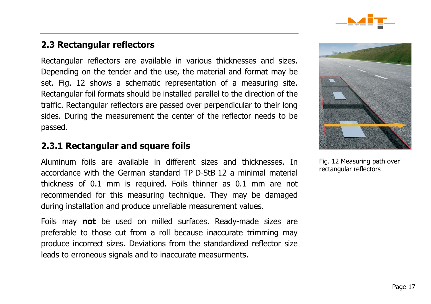

## <span id="page-16-0"></span>**2.3 Rectangular reflectors**

Rectangular reflectors are available in various thicknesses and sizes. Depending on the tender and the use, the material and format may be set. [Fig. 1](#page-16-2)2 shows a schematic representation of a measuring site. Rectangular foil formats should be installed parallel to the direction of the traffic. Rectangular reflectors are passed over perpendicular to their long sides. During the measurement the center of the reflector needs to be passed.

### <span id="page-16-1"></span>**2.3.1 Rectangular and square foils**

Aluminum foils are available in different sizes and thicknesses. In accordance with the German standard TP D-StB 12 a minimal material thickness of 0.1 mm is required. Foils thinner as 0.1 mm are not recommended for this measuring technique. They may be damaged during installation and produce unreliable measurement values.

Foils may **not** be used on milled surfaces. Ready-made sizes are preferable to those cut from a roll because inaccurate trimming may produce incorrect sizes. Deviations from the standardized reflector size leads to erroneous signals and to inaccurate measurments.

<span id="page-16-2"></span>

Fig. 12 Measuring path over rectangular reflectors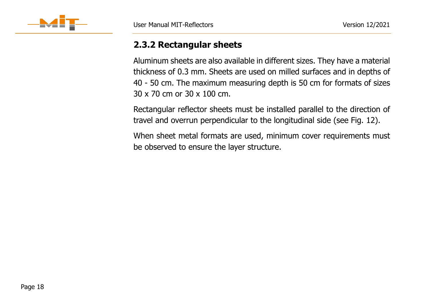

## <span id="page-17-0"></span>**2.3.2 Rectangular sheets**

Aluminum sheets are also available in different sizes. They have a material thickness of 0.3 mm. Sheets are used on milled surfaces and in depths of 40 - 50 cm. The maximum measuring depth is 50 cm for formats of sizes 30 x 70 cm or 30 x 100 cm.

Rectangular reflector sheets must be installed parallel to the direction of travel and overrun perpendicular to the longitudinal side (see [Fig. 1](#page-16-2)2).

When sheet metal formats are used, minimum cover requirements must be observed to ensure the layer structure.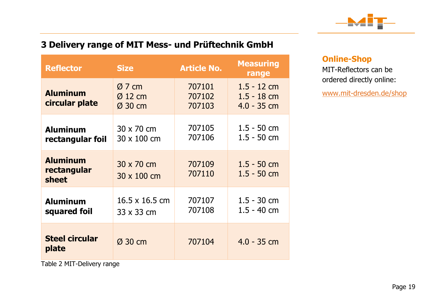

## <span id="page-18-0"></span>**3 Delivery range of MIT Mess- und Prüftechnik GmbH**

| <b>Reflector</b>                        | <b>Size</b>                                | <b>Article No.</b>         | <b>Measuring</b><br>range                       |
|-----------------------------------------|--------------------------------------------|----------------------------|-------------------------------------------------|
| <b>Aluminum</b><br>circular plate       | $Ø$ 7 cm<br>$\varnothing$ 12 cm<br>Ø 30 cm | 707101<br>707102<br>707103 | $1.5 - 12$ cm<br>$1.5 - 18$ cm<br>$4.0 - 35$ cm |
| <b>Aluminum</b><br>rectangular foil     | 30 x 70 cm<br>30 x 100 cm                  | 707105<br>707106           | $1.5 - 50$ cm<br>$1.5 - 50$ cm                  |
| <b>Aluminum</b><br>rectangular<br>sheet | 30 x 70 cm<br>$30 \times 100$ cm           | 707109<br>707110           | $1.5 - 50$ cm<br>$1.5 - 50$ cm                  |
| <b>Aluminum</b><br>squared foil         | $16.5 \times 16.5$ cm<br>33 x 33 cm        | 707107<br>707108           | $1.5 - 30$ cm<br>$1.5 - 40$ cm                  |
| <b>Steel circular</b><br>plate          | $\varnothing$ 30 cm                        | 707104                     | $4.0 - 35$ cm                                   |

### **Online-Shop**

MIT-Reflectors can be ordered directly online:

[www.mit-dresden.de/shop](http://www.mit-dresden.de/shop)

Table 2 MIT-Delivery range